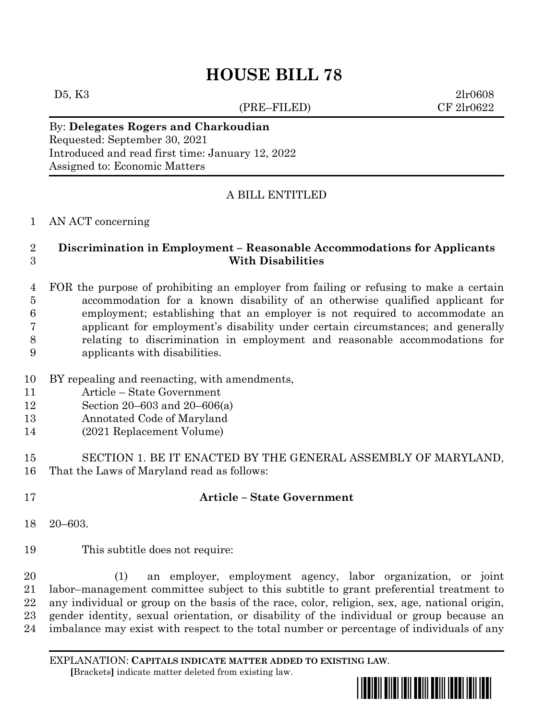# **HOUSE BILL 78**

(PRE–FILED) CF 2lr0622

D5, K3 2lr0608

By: **Delegates Rogers and Charkoudian** Requested: September 30, 2021 Introduced and read first time: January 12, 2022 Assigned to: Economic Matters

## A BILL ENTITLED

#### AN ACT concerning

#### **Discrimination in Employment – Reasonable Accommodations for Applicants With Disabilities**

 FOR the purpose of prohibiting an employer from failing or refusing to make a certain accommodation for a known disability of an otherwise qualified applicant for employment; establishing that an employer is not required to accommodate an applicant for employment's disability under certain circumstances; and generally relating to discrimination in employment and reasonable accommodations for applicants with disabilities.

- BY repealing and reenacting, with amendments,
- Article State Government
- Section 20–603 and 20–606(a)
- Annotated Code of Maryland
- (2021 Replacement Volume)

 SECTION 1. BE IT ENACTED BY THE GENERAL ASSEMBLY OF MARYLAND, That the Laws of Maryland read as follows:

## **Article – State Government**

20–603.

This subtitle does not require:

 (1) an employer, employment agency, labor organization, or joint labor–management committee subject to this subtitle to grant preferential treatment to any individual or group on the basis of the race, color, religion, sex, age, national origin, gender identity, sexual orientation, or disability of the individual or group because an imbalance may exist with respect to the total number or percentage of individuals of any

EXPLANATION: **CAPITALS INDICATE MATTER ADDED TO EXISTING LAW**.  **[**Brackets**]** indicate matter deleted from existing law.

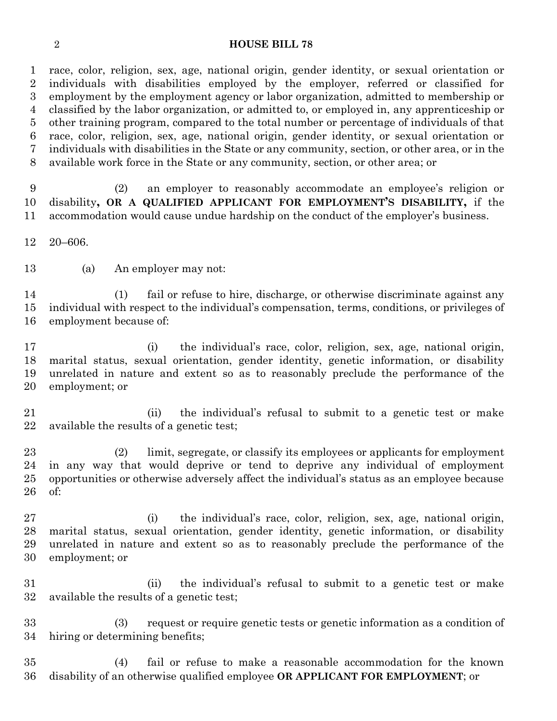#### **HOUSE BILL 78**

 race, color, religion, sex, age, national origin, gender identity, or sexual orientation or individuals with disabilities employed by the employer, referred or classified for employment by the employment agency or labor organization, admitted to membership or classified by the labor organization, or admitted to, or employed in, any apprenticeship or other training program, compared to the total number or percentage of individuals of that race, color, religion, sex, age, national origin, gender identity, or sexual orientation or individuals with disabilities in the State or any community, section, or other area, or in the available work force in the State or any community, section, or other area; or

 (2) an employer to reasonably accommodate an employee's religion or disability**, OR A QUALIFIED APPLICANT FOR EMPLOYMENT'S DISABILITY,** if the accommodation would cause undue hardship on the conduct of the employer's business.

20–606.

(a) An employer may not:

 (1) fail or refuse to hire, discharge, or otherwise discriminate against any individual with respect to the individual's compensation, terms, conditions, or privileges of employment because of:

 (i) the individual's race, color, religion, sex, age, national origin, marital status, sexual orientation, gender identity, genetic information, or disability unrelated in nature and extent so as to reasonably preclude the performance of the employment; or

 (ii) the individual's refusal to submit to a genetic test or make available the results of a genetic test;

 (2) limit, segregate, or classify its employees or applicants for employment in any way that would deprive or tend to deprive any individual of employment opportunities or otherwise adversely affect the individual's status as an employee because of:

 (i) the individual's race, color, religion, sex, age, national origin, marital status, sexual orientation, gender identity, genetic information, or disability unrelated in nature and extent so as to reasonably preclude the performance of the employment; or

 (ii) the individual's refusal to submit to a genetic test or make available the results of a genetic test;

 (3) request or require genetic tests or genetic information as a condition of hiring or determining benefits;

 (4) fail or refuse to make a reasonable accommodation for the known disability of an otherwise qualified employee **OR APPLICANT FOR EMPLOYMENT**; or